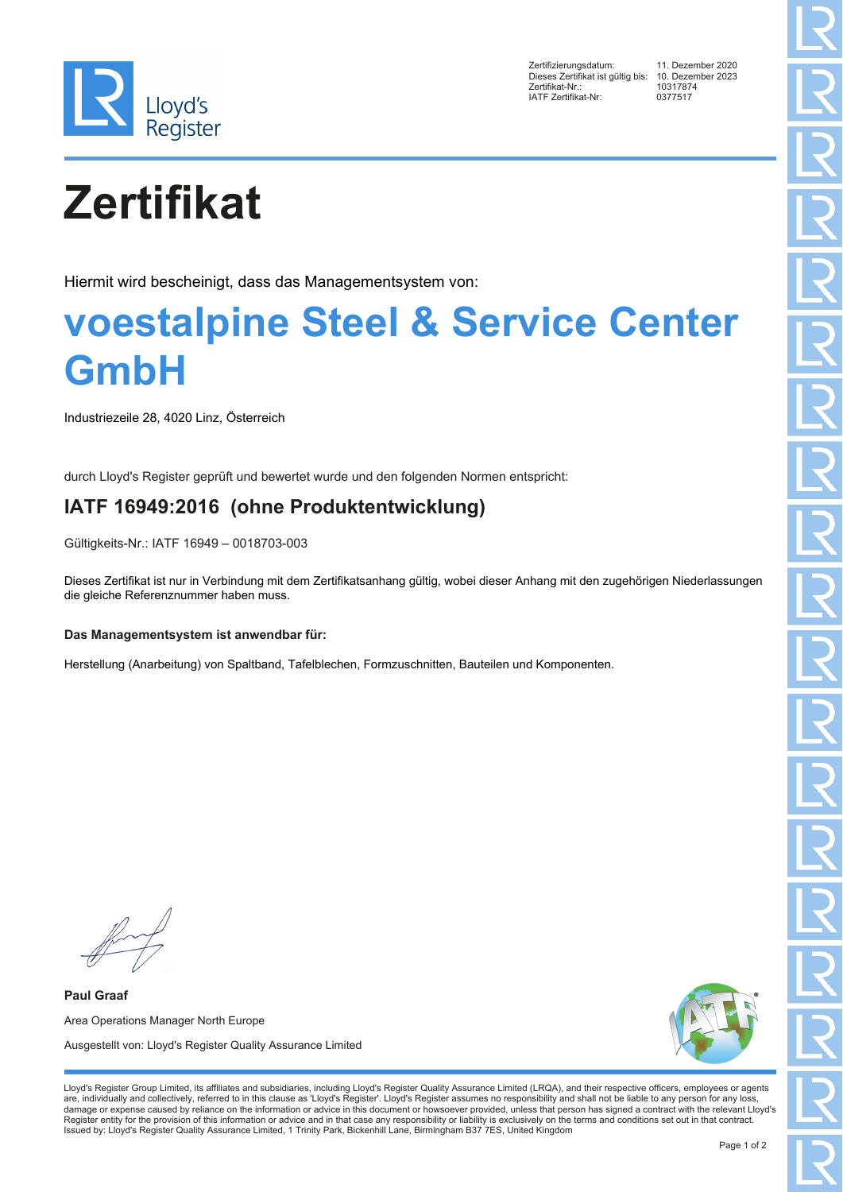

Zertifizierungsdatum: 11. Dezember 2020 Dieses Zertifikat ist gültig bis: 10. Dezem<br>Zertifikat-Nr.: 10317874 Exertifikat-Nr.: 1031787<br>
1031787<br>
1ATE Zertifikat-Nr: 0377517 IATF Zertifikat-Nr:

# **Zertifikat**

Hiermit wird bescheinigt, dass das Managementsystem von:

## **voestalpine Steel & Service Center GmbH**

Industriezeile 28, 4020 Linz, Österreich

durch Lloyd's Register geprüft und bewertet wurde und den folgenden Normen entspricht:

### **IATF 16949:2016 (ohne Produktentwicklung)**

Gültigkeits-Nr.: IATF 16949 – 0018703-003

Dieses Zertifikat ist nur in Verbindung mit dem Zertifikatsanhang gültig, wobei dieser Anhang mit den zugehörigen Niederlassungen die gleiche Referenznummer haben muss.

#### **Das Managementsystem ist anwendbar für:**

Herstellung (Anarbeitung) von Spaltband, Tafelblechen, Formzuschnitten, Bauteilen und Komponenten.

**Paul Graaf** Area Operations Manager North Europe Ausgestellt von: Lloyd's Register Quality Assurance Limited



Lloyd's Register Group Limited, its affiliates and subsidiaries, including Lloyd's Register Quality Assurance Limited (LRQA), and their respective officers, employees or agents are, individually and collectively, referred to in this clause as 'Lloyd's Register'. Lloyd's Register assumes no responsibility and shall not be liable to any person for any loss,<br>damage or expense caused by reliance on t Register entity for the provision of this information or advice and in that case any responsibility or liability is exclusively on the terms and conditions set out in that contract. Issued by: Lloyd's Register Quality Assurance Limited, 1 Trinity Park, Bickenhill Lane, Birmingham B37 7ES, United Kingdom